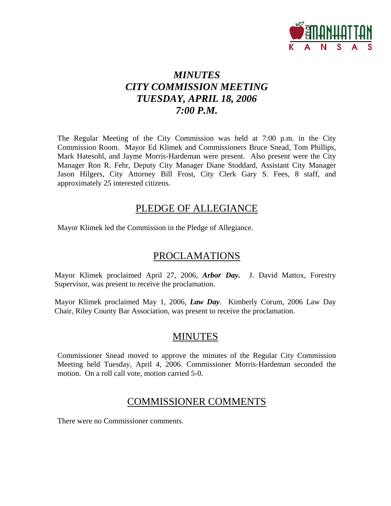

# *MINUTES CITY COMMISSION MEETING TUESDAY, APRIL 18, 2006 7:00 P.M.*

The Regular Meeting of the City Commission was held at 7:00 p.m. in the City Commission Room. Mayor Ed Klimek and Commissioners Bruce Snead, Tom Phillips, Mark Hatesohl, and Jayme Morris-Hardeman were present. Also present were the City Manager Ron R. Fehr, Deputy City Manager Diane Stoddard, Assistant City Manager Jason Hilgers, City Attorney Bill Frost, City Clerk Gary S. Fees, 8 staff, and approximately 25 interested citizens.

# PLEDGE OF ALLEGIANCE

Mayor Klimek led the Commission in the Pledge of Allegiance.

# PROCLAMATIONS

Mayor Klimek proclaimed April 27, 2006, *Arbor Day.* J. David Mattox, Forestry Supervisor, was present to receive the proclamation.

Mayor Klimek proclaimed May 1, 2006, *Law Day*. Kimberly Corum, 2006 Law Day Chair, Riley County Bar Association, was present to receive the proclamation.

# MINUTES

Commissioner Snead moved to approve the minutes of the Regular City Commission Meeting held Tuesday, April 4, 2006. Commissioner Morris-Hardeman seconded the motion. On a roll call vote, motion carried 5-0.

# COMMISSIONER COMMENTS

There were no Commissioner comments.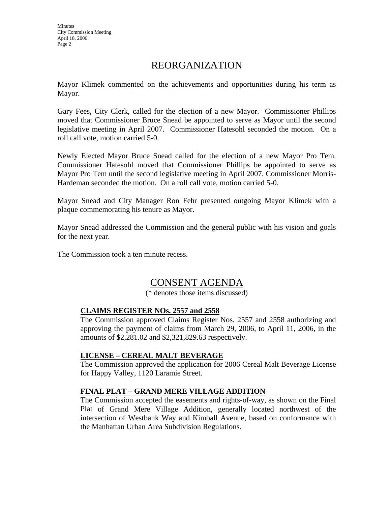**Minutes** City Commission Meeting April 18, 2006 Page 2

# REORGANIZATION

Mayor Klimek commented on the achievements and opportunities during his term as Mayor.

Gary Fees, City Clerk, called for the election of a new Mayor. Commissioner Phillips moved that Commissioner Bruce Snead be appointed to serve as Mayor until the second legislative meeting in April 2007. Commissioner Hatesohl seconded the motion. On a roll call vote, motion carried 5-0.

Newly Elected Mayor Bruce Snead called for the election of a new Mayor Pro Tem. Commissioner Hatesohl moved that Commissioner Phillips be appointed to serve as Mayor Pro Tem until the second legislative meeting in April 2007. Commissioner Morris-Hardeman seconded the motion. On a roll call vote, motion carried 5-0.

Mayor Snead and City Manager Ron Fehr presented outgoing Mayor Klimek with a plaque commemorating his tenure as Mayor.

Mayor Snead addressed the Commission and the general public with his vision and goals for the next year.

The Commission took a ten minute recess.

# CONSENT AGENDA

(\* denotes those items discussed)

## **CLAIMS REGISTER NOs. 2557 and 2558**

The Commission approved Claims Register Nos. 2557 and 2558 authorizing and approving the payment of claims from March 29, 2006, to April 11, 2006, in the amounts of \$2,281.02 and \$2,321,829.63 respectively.

## **LICENSE – CEREAL MALT BEVERAGE**

The Commission approved the application for 2006 Cereal Malt Beverage License for Happy Valley, 1120 Laramie Street.

## **FINAL PLAT – GRAND MERE VILLAGE ADDITION**

The Commission accepted the easements and rights-of-way, as shown on the Final Plat of Grand Mere Village Addition, generally located northwest of the intersection of Westbank Way and Kimball Avenue, based on conformance with the Manhattan Urban Area Subdivision Regulations.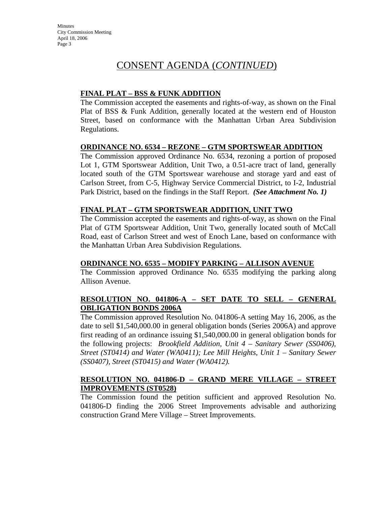Minutes City Commission Meeting April 18, 2006 Page 3

# CONSENT AGENDA (*CONTINUED*)

# **FINAL PLAT – BSS & FUNK ADDITION**

The Commission accepted the easements and rights-of-way, as shown on the Final Plat of BSS & Funk Addition, generally located at the western end of Houston Street, based on conformance with the Manhattan Urban Area Subdivision Regulations.

#### **ORDINANCE NO. 6534 – REZONE – GTM SPORTSWEAR ADDITION**

The Commission approved Ordinance No. 6534, rezoning a portion of proposed Lot 1, GTM Sportswear Addition, Unit Two, a 0.51-acre tract of land, generally located south of the GTM Sportswear warehouse and storage yard and east of Carlson Street, from C-5, Highway Service Commercial District, to I-2, Industrial Park District, based on the findings in the Staff Report. *(See Attachment No. 1)*

#### **FINAL PLAT – GTM SPORTSWEAR ADDITION, UNIT TWO**

The Commission accepted the easements and rights-of-way, as shown on the Final Plat of GTM Sportswear Addition, Unit Two, generally located south of McCall Road, east of Carlson Street and west of Enoch Lane, based on conformance with the Manhattan Urban Area Subdivision Regulations.

## **ORDINANCE NO. 6535 – MODIFY PARKING – ALLISON AVENUE**

The Commission approved Ordinance No. 6535 modifying the parking along Allison Avenue.

#### **RESOLUTION NO. 041806-A – SET DATE TO SELL – GENERAL OBLIGATION BONDS 2006A**

The Commission approved Resolution No. 041806-A setting May 16, 2006, as the date to sell \$1,540,000.00 in general obligation bonds (Series 2006A) and approve first reading of an ordinance issuing \$1,540,000.00 in general obligation bonds for the following projects: *Brookfield Addition, Unit 4 – Sanitary Sewer (SS0406), Street (ST0414) and Water (WA0411); Lee Mill Heights, Unit 1 – Sanitary Sewer (SS0407), Street (ST0415) and Water (WA0412).* 

#### **RESOLUTION NO. 041806-D – GRAND MERE VILLAGE – STREET IMPROVEMENTS (ST0528)**

The Commission found the petition sufficient and approved Resolution No. 041806-D finding the 2006 Street Improvements advisable and authorizing construction Grand Mere Village – Street Improvements.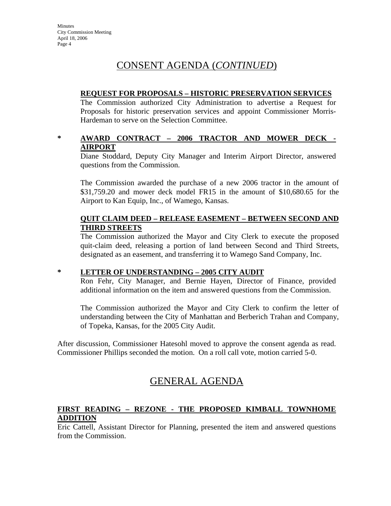# CONSENT AGENDA (*CONTINUED*)

### **REQUEST FOR PROPOSALS – HISTORIC PRESERVATION SERVICES**

The Commission authorized City Administration to advertise a Request for Proposals for historic preservation services and appoint Commissioner Morris-Hardeman to serve on the Selection Committee.

## **\* AWARD CONTRACT – 2006 TRACTOR AND MOWER DECK - AIRPORT**

Diane Stoddard, Deputy City Manager and Interim Airport Director, answered questions from the Commission.

The Commission awarded the purchase of a new 2006 tractor in the amount of \$31,759.20 and mower deck model FR15 in the amount of \$10,680.65 for the Airport to Kan Equip, Inc., of Wamego, Kansas.

#### **QUIT CLAIM DEED – RELEASE EASEMENT – BETWEEN SECOND AND THIRD STREETS**

The Commission authorized the Mayor and City Clerk to execute the proposed quit-claim deed, releasing a portion of land between Second and Third Streets, designated as an easement, and transferring it to Wamego Sand Company, Inc.

## **\* LETTER OF UNDERSTANDING – 2005 CITY AUDIT**

Ron Fehr, City Manager, and Bernie Hayen, Director of Finance, provided additional information on the item and answered questions from the Commission.

The Commission authorized the Mayor and City Clerk to confirm the letter of understanding between the City of Manhattan and Berberich Trahan and Company, of Topeka, Kansas, for the 2005 City Audit.

After discussion, Commissioner Hatesohl moved to approve the consent agenda as read. Commissioner Phillips seconded the motion. On a roll call vote, motion carried 5-0.

# GENERAL AGENDA

## **FIRST READING – REZONE - THE PROPOSED KIMBALL TOWNHOME ADDITION**

Eric Cattell, Assistant Director for Planning, presented the item and answered questions from the Commission.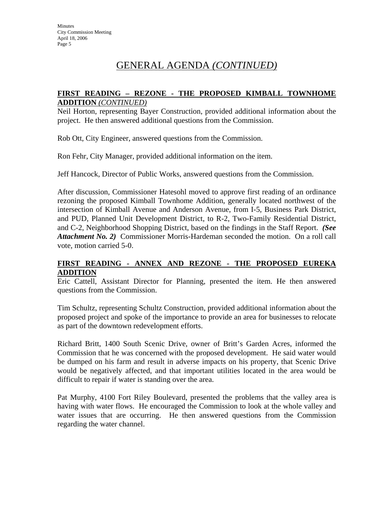# GENERAL AGENDA *(CONTINUED)*

## **FIRST READING – REZONE - THE PROPOSED KIMBALL TOWNHOME ADDITION** *(CONTINUED)*

Neil Horton, representing Bayer Construction, provided additional information about the project. He then answered additional questions from the Commission.

Rob Ott, City Engineer, answered questions from the Commission.

Ron Fehr, City Manager, provided additional information on the item.

Jeff Hancock, Director of Public Works, answered questions from the Commission.

After discussion, Commissioner Hatesohl moved to approve first reading of an ordinance rezoning the proposed Kimball Townhome Addition, generally located northwest of the intersection of Kimball Avenue and Anderson Avenue, from I-5, Business Park District, and PUD, Planned Unit Development District, to R-2, Two-Family Residential District, and C-2, Neighborhood Shopping District, based on the findings in the Staff Report. *(See Attachment No. 2)* Commissioner Morris-Hardeman seconded the motion. On a roll call vote, motion carried 5-0.

#### **FIRST READING - ANNEX AND REZONE - THE PROPOSED EUREKA ADDITION**

Eric Cattell, Assistant Director for Planning, presented the item. He then answered questions from the Commission.

Tim Schultz, representing Schultz Construction, provided additional information about the proposed project and spoke of the importance to provide an area for businesses to relocate as part of the downtown redevelopment efforts.

Richard Britt, 1400 South Scenic Drive, owner of Britt's Garden Acres, informed the Commission that he was concerned with the proposed development. He said water would be dumped on his farm and result in adverse impacts on his property, that Scenic Drive would be negatively affected, and that important utilities located in the area would be difficult to repair if water is standing over the area.

Pat Murphy, 4100 Fort Riley Boulevard, presented the problems that the valley area is having with water flows. He encouraged the Commission to look at the whole valley and water issues that are occurring. He then answered questions from the Commission regarding the water channel.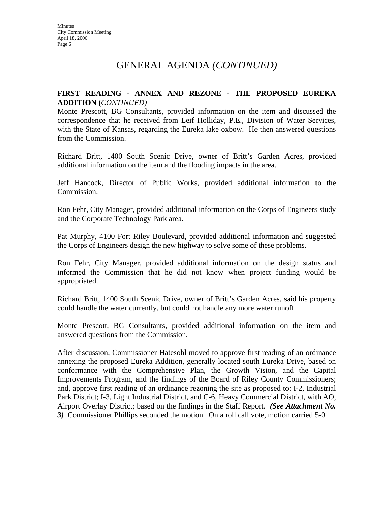# GENERAL AGENDA *(CONTINUED)*

## **FIRST READING - ANNEX AND REZONE - THE PROPOSED EUREKA ADDITION (***CONTINUED)*

Monte Prescott, BG Consultants, provided information on the item and discussed the correspondence that he received from Leif Holliday, P.E., Division of Water Services, with the State of Kansas, regarding the Eureka lake oxbow. He then answered questions from the Commission.

Richard Britt, 1400 South Scenic Drive, owner of Britt's Garden Acres, provided additional information on the item and the flooding impacts in the area.

Jeff Hancock, Director of Public Works, provided additional information to the Commission.

Ron Fehr, City Manager, provided additional information on the Corps of Engineers study and the Corporate Technology Park area.

Pat Murphy, 4100 Fort Riley Boulevard, provided additional information and suggested the Corps of Engineers design the new highway to solve some of these problems.

Ron Fehr, City Manager, provided additional information on the design status and informed the Commission that he did not know when project funding would be appropriated.

Richard Britt, 1400 South Scenic Drive, owner of Britt's Garden Acres, said his property could handle the water currently, but could not handle any more water runoff.

Monte Prescott, BG Consultants, provided additional information on the item and answered questions from the Commission.

After discussion, Commissioner Hatesohl moved to approve first reading of an ordinance annexing the proposed Eureka Addition, generally located south Eureka Drive, based on conformance with the Comprehensive Plan, the Growth Vision, and the Capital Improvements Program, and the findings of the Board of Riley County Commissioners; and, approve first reading of an ordinance rezoning the site as proposed to: I-2, Industrial Park District; I-3, Light Industrial District, and C-6, Heavy Commercial District, with AO, Airport Overlay District; based on the findings in the Staff Report. *(See Attachment No. 3)* Commissioner Phillips seconded the motion. On a roll call vote, motion carried 5-0.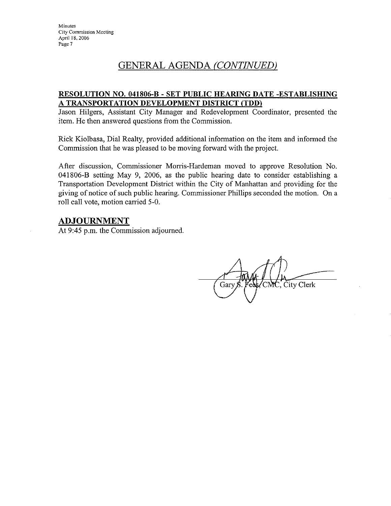# GENERAL AGENDA (CONTINUED)

## RESOLUTION NO. 041806-B - SET PUBLIC HEARING DATE -ESTABLISHING A TRANSPORTATION DEVELOPMENT DISTRICT (TDD)

Jason Hilgers, Assistant City Manager and Redevelopment Coordinator, presented the item. He then answered questions from the Commission.

Rick Kiolbasa, Dial Realty, provided additional information on the item and informed the Commission that he was pleased to be moving forward with the project.

After discussion, Commissioner Morris-Hardeman moved to approve Resolution No. 041806-B setting May 9, 2006, as the public hearing date to consider establishing a Transportation Development District within the City of Manhattan and providing for the giving of notice of such public hearing. Commissioner Phillips seconded the motion. On a roll call vote, motion carried 5-0.

# ADJOURNMENT

At 9:45 p.m. the Commission adjourned.

City Clerk Gary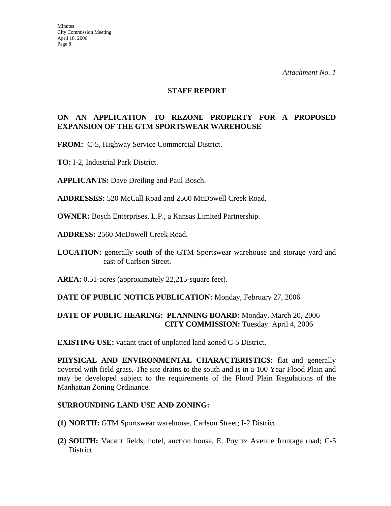#### **STAFF REPORT**

## **ON AN APPLICATION TO REZONE PROPERTY FOR A PROPOSED EXPANSION OF THE GTM SPORTSWEAR WAREHOUSE**

**FROM:** C-5, Highway Service Commercial District.

- **TO:** I-2, Industrial Park District.
- **APPLICANTS:** Dave Dreiling and Paul Bosch.

**ADDRESSES:** 520 McCall Road and 2560 McDowell Creek Road.

**OWNER:** Bosch Enterprises, L.P., a Kansas Limited Partnership.

**ADDRESS:** 2560 McDowell Creek Road.

**LOCATION:** generally south of the GTM Sportswear warehouse and storage yard and east of Carlson Street.

**AREA:** 0.51-acres (approximately 22,215-square feet).

#### **DATE OF PUBLIC NOTICE PUBLICATION:** Monday, February 27, 2006

## **DATE OF PUBLIC HEARING: PLANNING BOARD:** Monday, March 20, 2006 **CITY COMMISSION:** Tuesday. April 4, 2006

**EXISTING USE:** vacant tract of unplatted land zoned C-5 District**.** 

**PHYSICAL AND ENVIRONMENTAL CHARACTERISTICS:** flat and generally covered with field grass. The site drains to the south and is in a 100 Year Flood Plain and may be developed subject to the requirements of the Flood Plain Regulations of the Manhattan Zoning Ordinance.

#### **SURROUNDING LAND USE AND ZONING:**

- **(1) NORTH:** GTM Sportswear warehouse, Carlson Street; I-2 District.
- **(2) SOUTH:** Vacant fields, hotel, auction house, E. Poyntz Avenue frontage road; C-5 District.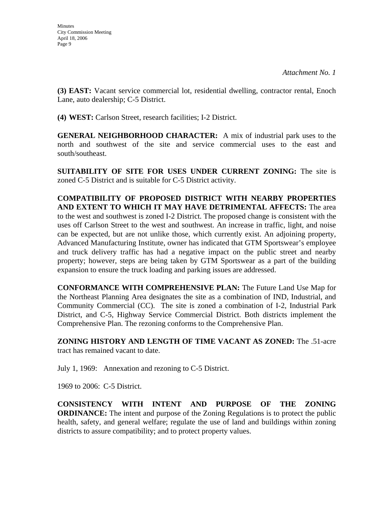**(3) EAST:** Vacant service commercial lot, residential dwelling, contractor rental, Enoch Lane, auto dealership; C-5 District.

**(4) WEST:** Carlson Street, research facilities; I-2 District.

**GENERAL NEIGHBORHOOD CHARACTER:** A mix of industrial park uses to the north and southwest of the site and service commercial uses to the east and south/southeast.

**SUITABILITY OF SITE FOR USES UNDER CURRENT ZONING:** The site is zoned C-5 District and is suitable for C-5 District activity.

**COMPATIBILITY OF PROPOSED DISTRICT WITH NEARBY PROPERTIES AND EXTENT TO WHICH IT MAY HAVE DETRIMENTAL AFFECTS:** The area to the west and southwest is zoned I-2 District. The proposed change is consistent with the uses off Carlson Street to the west and southwest. An increase in traffic, light, and noise can be expected, but are not unlike those, which currently exist. An adjoining property, Advanced Manufacturing Institute, owner has indicated that GTM Sportswear's employee and truck delivery traffic has had a negative impact on the public street and nearby property; however, steps are being taken by GTM Sportswear as a part of the building expansion to ensure the truck loading and parking issues are addressed.

**CONFORMANCE WITH COMPREHENSIVE PLAN:** The Future Land Use Map for the Northeast Planning Area designates the site as a combination of IND, Industrial, and Community Commercial (CC).The site is zoned a combination of I-2, Industrial Park District, and C-5, Highway Service Commercial District. Both districts implement the Comprehensive Plan. The rezoning conforms to the Comprehensive Plan.

**ZONING HISTORY AND LENGTH OF TIME VACANT AS ZONED:** The .51-acre tract has remained vacant to date.

July 1, 1969: Annexation and rezoning to C-5 District.

1969 to 2006: C-5 District.

**CONSISTENCY WITH INTENT AND PURPOSE OF THE ZONING ORDINANCE:** The intent and purpose of the Zoning Regulations is to protect the public health, safety, and general welfare; regulate the use of land and buildings within zoning districts to assure compatibility; and to protect property values.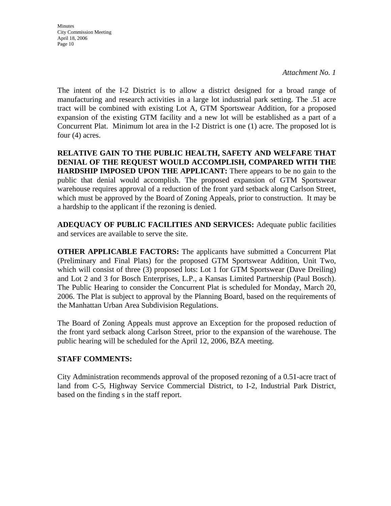Minutes City Commission Meeting April 18, 2006 Page 10

*Attachment No. 1*

The intent of the I-2 District is to allow a district designed for a broad range of manufacturing and research activities in a large lot industrial park setting. The .51 acre tract will be combined with existing Lot A, GTM Sportswear Addition, for a proposed expansion of the existing GTM facility and a new lot will be established as a part of a Concurrent Plat. Minimum lot area in the I-2 District is one (1) acre. The proposed lot is four (4) acres.

**RELATIVE GAIN TO THE PUBLIC HEALTH, SAFETY AND WELFARE THAT DENIAL OF THE REQUEST WOULD ACCOMPLISH, COMPARED WITH THE HARDSHIP IMPOSED UPON THE APPLICANT:** There appears to be no gain to the public that denial would accomplish. The proposed expansion of GTM Sportswear warehouse requires approval of a reduction of the front yard setback along Carlson Street, which must be approved by the Board of Zoning Appeals, prior to construction. It may be a hardship to the applicant if the rezoning is denied.

**ADEQUACY OF PUBLIC FACILITIES AND SERVICES:** Adequate public facilities and services are available to serve the site.

**OTHER APPLICABLE FACTORS:** The applicants have submitted a Concurrent Plat (Preliminary and Final Plats) for the proposed GTM Sportswear Addition, Unit Two, which will consist of three (3) proposed lots: Lot 1 for GTM Sportswear (Dave Dreiling) and Lot 2 and 3 for Bosch Enterprises, L.P., a Kansas Limited Partnership (Paul Bosch). The Public Hearing to consider the Concurrent Plat is scheduled for Monday, March 20, 2006. The Plat is subject to approval by the Planning Board, based on the requirements of the Manhattan Urban Area Subdivision Regulations.

The Board of Zoning Appeals must approve an Exception for the proposed reduction of the front yard setback along Carlson Street, prior to the expansion of the warehouse. The public hearing will be scheduled for the April 12, 2006, BZA meeting.

## **STAFF COMMENTS:**

City Administration recommends approval of the proposed rezoning of a 0.51-acre tract of land from C-5, Highway Service Commercial District, to I-2, Industrial Park District, based on the finding s in the staff report.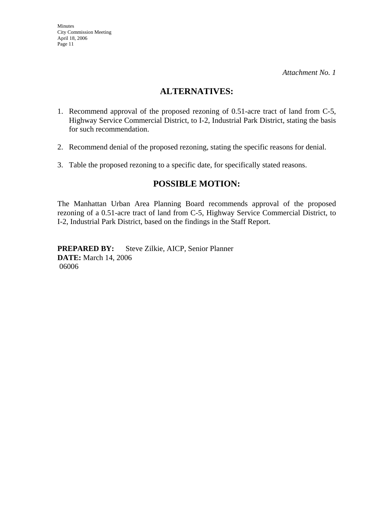# **ALTERNATIVES:**

- 1. Recommend approval of the proposed rezoning of 0.51-acre tract of land from C-5, Highway Service Commercial District, to I-2, Industrial Park District, stating the basis for such recommendation.
- 2. Recommend denial of the proposed rezoning, stating the specific reasons for denial.
- 3. Table the proposed rezoning to a specific date, for specifically stated reasons.

# **POSSIBLE MOTION:**

The Manhattan Urban Area Planning Board recommends approval of the proposed rezoning of a 0.51-acre tract of land from C-5, Highway Service Commercial District, to I-2, Industrial Park District, based on the findings in the Staff Report.

**PREPARED BY:** Steve Zilkie, AICP, Senior Planner **DATE:** March 14, 2006 06006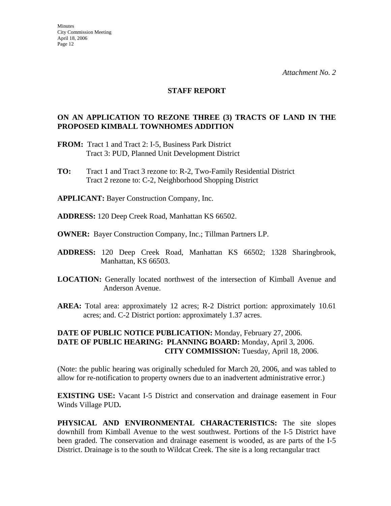#### **STAFF REPORT**

### **ON AN APPLICATION TO REZONE THREE (3) TRACTS OF LAND IN THE PROPOSED KIMBALL TOWNHOMES ADDITION**

- **FROM:** Tract 1 and Tract 2: I-5, Business Park District Tract 3: PUD, Planned Unit Development District
- **TO:** Tract 1 and Tract 3 rezone to: R-2, Two-Family Residential District Tract 2 rezone to: C-2, Neighborhood Shopping District

**APPLICANT:** Bayer Construction Company, Inc.

- **ADDRESS:** 120 Deep Creek Road, Manhattan KS 66502.
- **OWNER:** Bayer Construction Company, Inc.; Tillman Partners LP.
- **ADDRESS:** 120 Deep Creek Road, Manhattan KS 66502; 1328 Sharingbrook, Manhattan, KS 66503.
- **LOCATION:** Generally located northwest of the intersection of Kimball Avenue and Anderson Avenue.
- **AREA:** Total area: approximately 12 acres; R-2 District portion: approximately 10.61 acres; and. C-2 District portion: approximately 1.37 acres.

## **DATE OF PUBLIC NOTICE PUBLICATION:** Monday, February 27, 2006. **DATE OF PUBLIC HEARING: PLANNING BOARD:** Monday, April 3, 2006. **CITY COMMISSION:** Tuesday, April 18, 2006.

(Note: the public hearing was originally scheduled for March 20, 2006, and was tabled to allow for re-notification to property owners due to an inadvertent administrative error.)

**EXISTING USE:** Vacant I-5 District and conservation and drainage easement in Four Winds Village PUD**.** 

**PHYSICAL AND ENVIRONMENTAL CHARACTERISTICS:** The site slopes downhill from Kimball Avenue to the west southwest. Portions of the I-5 District have been graded. The conservation and drainage easement is wooded, as are parts of the I-5 District. Drainage is to the south to Wildcat Creek. The site is a long rectangular tract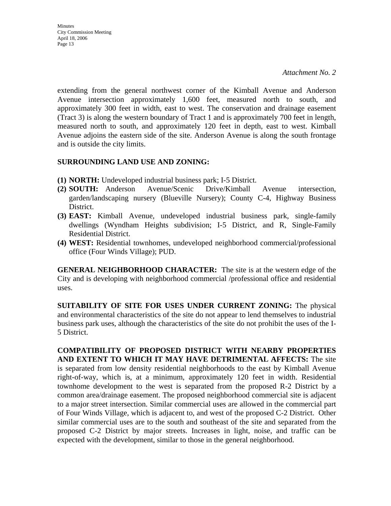extending from the general northwest corner of the Kimball Avenue and Anderson Avenue intersection approximately 1,600 feet, measured north to south, and approximately 300 feet in width, east to west. The conservation and drainage easement (Tract 3) is along the western boundary of Tract 1 and is approximately 700 feet in length, measured north to south, and approximately 120 feet in depth, east to west. Kimball Avenue adjoins the eastern side of the site. Anderson Avenue is along the south frontage and is outside the city limits.

#### **SURROUNDING LAND USE AND ZONING:**

- **(1) NORTH:** Undeveloped industrial business park; I-5 District.
- **(2) SOUTH:** Anderson Avenue/Scenic Drive/Kimball Avenue intersection, garden/landscaping nursery (Blueville Nursery); County C-4, Highway Business District.
- **(3) EAST:** Kimball Avenue, undeveloped industrial business park, single-family dwellings (Wyndham Heights subdivision; I-5 District, and R, Single-Family Residential District.
- **(4) WEST:** Residential townhomes, undeveloped neighborhood commercial/professional office (Four Winds Village); PUD.

**GENERAL NEIGHBORHOOD CHARACTER:** The site is at the western edge of the City and is developing with neighborhood commercial /professional office and residential uses.

**SUITABILITY OF SITE FOR USES UNDER CURRENT ZONING:** The physical and environmental characteristics of the site do not appear to lend themselves to industrial business park uses, although the characteristics of the site do not prohibit the uses of the I-5 District.

**COMPATIBILITY OF PROPOSED DISTRICT WITH NEARBY PROPERTIES AND EXTENT TO WHICH IT MAY HAVE DETRIMENTAL AFFECTS:** The site is separated from low density residential neighborhoods to the east by Kimball Avenue right-of-way, which is, at a minimum, approximately 120 feet in width. Residential townhome development to the west is separated from the proposed R-2 District by a common area/drainage easement. The proposed neighborhood commercial site is adjacent to a major street intersection. Similar commercial uses are allowed in the commercial part of Four Winds Village, which is adjacent to, and west of the proposed C-2 District. Other similar commercial uses are to the south and southeast of the site and separated from the proposed C-2 District by major streets. Increases in light, noise, and traffic can be expected with the development, similar to those in the general neighborhood.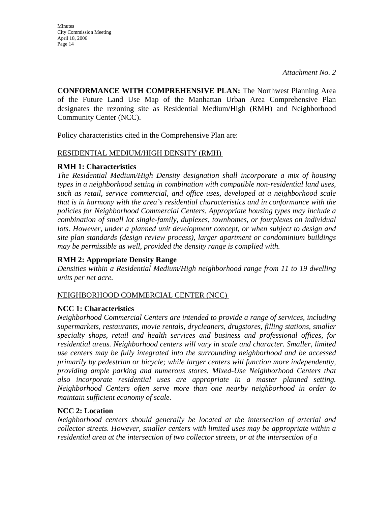Minutes City Commission Meeting April 18, 2006 Page 14

**CONFORMANCE WITH COMPREHENSIVE PLAN:** The Northwest Planning Area of the Future Land Use Map of the Manhattan Urban Area Comprehensive Plan designates the rezoning site as Residential Medium/High (RMH) and Neighborhood Community Center (NCC).

Policy characteristics cited in the Comprehensive Plan are:

#### RESIDENTIAL MEDIUM/HIGH DENSITY (RMH)

#### **RMH 1: Characteristics**

*The Residential Medium/High Density designation shall incorporate a mix of housing types in a neighborhood setting in combination with compatible non-residential land uses, such as retail, service commercial, and office uses, developed at a neighborhood scale that is in harmony with the area's residential characteristics and in conformance with the policies for Neighborhood Commercial Centers. Appropriate housing types may include a combination of small lot single-family, duplexes, townhomes, or fourplexes on individual*  lots. However, under a planned unit development concept, or when subject to design and *site plan standards (design review process), larger apartment or condominium buildings may be permissible as well, provided the density range is complied with.* 

## **RMH 2: Appropriate Density Range**

*Densities within a Residential Medium/High neighborhood range from 11 to 19 dwelling units per net acre.* 

#### NEIGHBORHOOD COMMERCIAL CENTER (NCC)

## **NCC 1: Characteristics**

*Neighborhood Commercial Centers are intended to provide a range of services, including supermarkets, restaurants, movie rentals, drycleaners, drugstores, filling stations, smaller specialty shops, retail and health services and business and professional offices, for residential areas. Neighborhood centers will vary in scale and character. Smaller, limited use centers may be fully integrated into the surrounding neighborhood and be accessed primarily by pedestrian or bicycle; while larger centers will function more independently, providing ample parking and numerous stores. Mixed-Use Neighborhood Centers that also incorporate residential uses are appropriate in a master planned setting. Neighborhood Centers often serve more than one nearby neighborhood in order to maintain sufficient economy of scale.* 

#### **NCC 2: Location**

*Neighborhood centers should generally be located at the intersection of arterial and collector streets. However, smaller centers with limited uses may be appropriate within a residential area at the intersection of two collector streets, or at the intersection of a*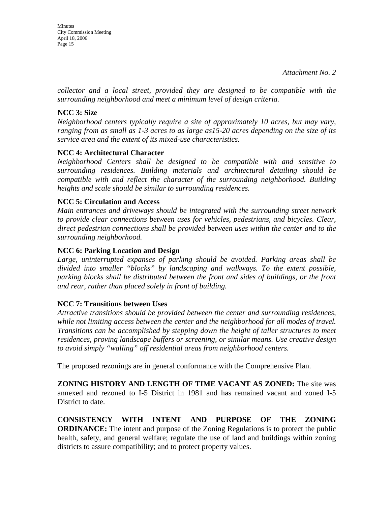*collector and a local street, provided they are designed to be compatible with the surrounding neighborhood and meet a minimum level of design criteria.* 

# **NCC 3: Size**

*Neighborhood centers typically require a site of approximately 10 acres, but may vary, ranging from as small as 1-3 acres to as large as15-20 acres depending on the size of its service area and the extent of its mixed-use characteristics.* 

# **NCC 4: Architectural Character**

*Neighborhood Centers shall be designed to be compatible with and sensitive to surrounding residences. Building materials and architectural detailing should be compatible with and reflect the character of the surrounding neighborhood. Building heights and scale should be similar to surrounding residences.* 

# **NCC 5: Circulation and Access**

*Main entrances and driveways should be integrated with the surrounding street network to provide clear connections between uses for vehicles, pedestrians, and bicycles. Clear, direct pedestrian connections shall be provided between uses within the center and to the surrounding neighborhood.* 

# **NCC 6: Parking Location and Design**

*Large, uninterrupted expanses of parking should be avoided. Parking areas shall be divided into smaller "blocks" by landscaping and walkways. To the extent possible, parking blocks shall be distributed between the front and sides of buildings, or the front and rear, rather than placed solely in front of building.* 

## **NCC 7: Transitions between Uses**

*Attractive transitions should be provided between the center and surrounding residences, while not limiting access between the center and the neighborhood for all modes of travel. Transitions can be accomplished by stepping down the height of taller structures to meet residences, proving landscape buffers or screening, or similar means. Use creative design to avoid simply "walling" off residential areas from neighborhood centers.* 

The proposed rezonings are in general conformance with the Comprehensive Plan.

**ZONING HISTORY AND LENGTH OF TIME VACANT AS ZONED:** The site was annexed and rezoned to I-5 District in 1981 and has remained vacant and zoned I-5 District to date.

**CONSISTENCY WITH INTENT AND PURPOSE OF THE ZONING ORDINANCE:** The intent and purpose of the Zoning Regulations is to protect the public health, safety, and general welfare; regulate the use of land and buildings within zoning districts to assure compatibility; and to protect property values.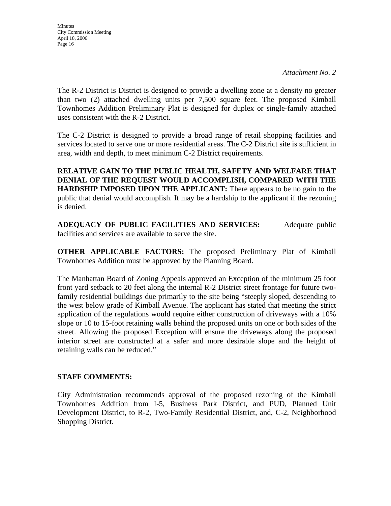The R-2 District is District is designed to provide a dwelling zone at a density no greater than two  $(2)$  attached dwelling units per 7,500 square feet. The proposed Kimball Townhomes Addition Preliminary Plat is designed for duplex or single-family attached uses consistent with the R-2 District.

The C-2 District is designed to provide a broad range of retail shopping facilities and services located to serve one or more residential areas. The C-2 District site is sufficient in area, width and depth, to meet minimum C-2 District requirements.

**RELATIVE GAIN TO THE PUBLIC HEALTH, SAFETY AND WELFARE THAT DENIAL OF THE REQUEST WOULD ACCOMPLISH, COMPARED WITH THE HARDSHIP IMPOSED UPON THE APPLICANT:** There appears to be no gain to the public that denial would accomplish. It may be a hardship to the applicant if the rezoning is denied.

**ADEQUACY OF PUBLIC FACILITIES AND SERVICES:** Adequate public facilities and services are available to serve the site.

**OTHER APPLICABLE FACTORS:** The proposed Preliminary Plat of Kimball Townhomes Addition must be approved by the Planning Board.

The Manhattan Board of Zoning Appeals approved an Exception of the minimum 25 foot front yard setback to 20 feet along the internal R-2 District street frontage for future twofamily residential buildings due primarily to the site being "steeply sloped, descending to the west below grade of Kimball Avenue. The applicant has stated that meeting the strict application of the regulations would require either construction of driveways with a 10% slope or 10 to 15-foot retaining walls behind the proposed units on one or both sides of the street. Allowing the proposed Exception will ensure the driveways along the proposed interior street are constructed at a safer and more desirable slope and the height of retaining walls can be reduced."

## **STAFF COMMENTS:**

City Administration recommends approval of the proposed rezoning of the Kimball Townhomes Addition from I-5, Business Park District, and PUD, Planned Unit Development District, to R-2, Two-Family Residential District, and, C-2, Neighborhood Shopping District.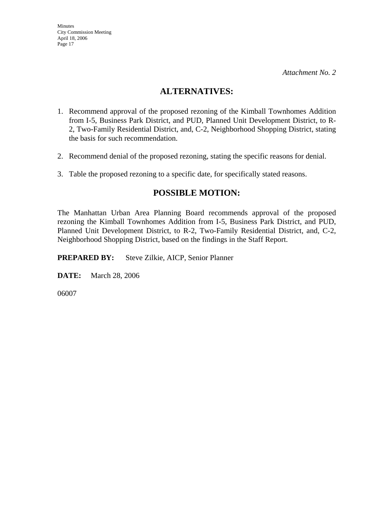# **ALTERNATIVES:**

- 1. Recommend approval of the proposed rezoning of the Kimball Townhomes Addition from I-5, Business Park District, and PUD, Planned Unit Development District, to R-2, Two-Family Residential District, and, C-2, Neighborhood Shopping District, stating the basis for such recommendation.
- 2. Recommend denial of the proposed rezoning, stating the specific reasons for denial.
- 3. Table the proposed rezoning to a specific date, for specifically stated reasons.

# **POSSIBLE MOTION:**

The Manhattan Urban Area Planning Board recommends approval of the proposed rezoning the Kimball Townhomes Addition from I-5, Business Park District, and PUD, Planned Unit Development District, to R-2, Two-Family Residential District, and, C-2, Neighborhood Shopping District, based on the findings in the Staff Report.

**PREPARED BY:** Steve Zilkie, AICP, Senior Planner

**DATE:** March 28, 2006

06007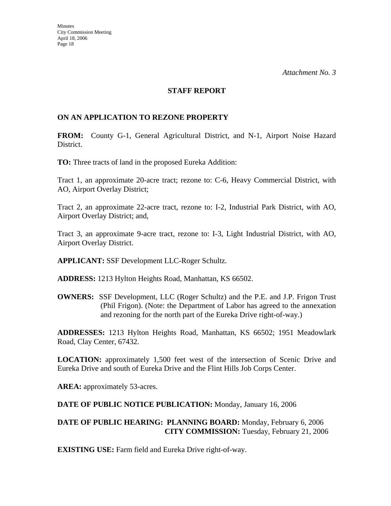#### **STAFF REPORT**

#### **ON AN APPLICATION TO REZONE PROPERTY**

**FROM:** County G-1, General Agricultural District, and N-1, Airport Noise Hazard District.

**TO:** Three tracts of land in the proposed Eureka Addition:

Tract 1, an approximate 20-acre tract; rezone to: C-6, Heavy Commercial District, with AO, Airport Overlay District;

Tract 2, an approximate 22-acre tract, rezone to: I-2, Industrial Park District, with AO, Airport Overlay District; and,

Tract 3, an approximate 9-acre tract, rezone to: I-3, Light Industrial District, with AO, Airport Overlay District.

**APPLICANT:** SSF Development LLC-Roger Schultz.

**ADDRESS:** 1213 Hylton Heights Road, Manhattan, KS 66502.

**OWNERS:** SSF Development, LLC (Roger Schultz) and the P.E. and J.P. Frigon Trust (Phil Frigon). (Note: the Department of Labor has agreed to the annexation and rezoning for the north part of the Eureka Drive right-of-way.)

**ADDRESSES:** 1213 Hylton Heights Road, Manhattan, KS 66502; 1951 Meadowlark Road, Clay Center, 67432.

**LOCATION:** approximately 1,500 feet west of the intersection of Scenic Drive and Eureka Drive and south of Eureka Drive and the Flint Hills Job Corps Center.

AREA: approximately 53-acres.

**DATE OF PUBLIC NOTICE PUBLICATION:** Monday, January 16, 2006

#### **DATE OF PUBLIC HEARING: PLANNING BOARD:** Monday, February 6, 2006 **CITY COMMISSION:** Tuesday, February 21, 2006

**EXISTING USE:** Farm field and Eureka Drive right-of-way.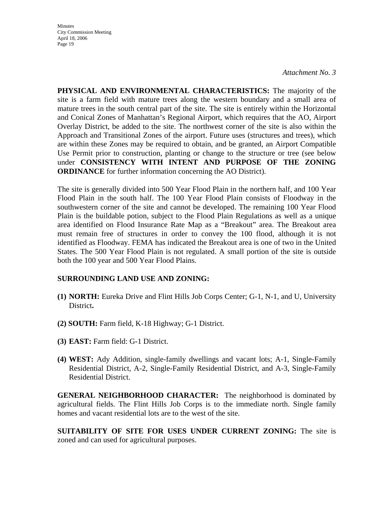Minutes City Commission Meeting April 18, 2006 Page 19

*Attachment No. 3*

**PHYSICAL AND ENVIRONMENTAL CHARACTERISTICS:** The majority of the site is a farm field with mature trees along the western boundary and a small area of mature trees in the south central part of the site. The site is entirely within the Horizontal and Conical Zones of Manhattan's Regional Airport, which requires that the AO, Airport Overlay District, be added to the site. The northwest corner of the site is also within the Approach and Transitional Zones of the airport. Future uses (structures and trees), which are within these Zones may be required to obtain, and be granted, an Airport Compatible Use Permit prior to construction, planting or change to the structure or tree (see below under **CONSISTENCY WITH INTENT AND PURPOSE OF THE ZONING ORDINANCE** for further information concerning the AO District).

The site is generally divided into 500 Year Flood Plain in the northern half, and 100 Year Flood Plain in the south half. The 100 Year Flood Plain consists of Floodway in the southwestern corner of the site and cannot be developed. The remaining 100 Year Flood Plain is the buildable potion, subject to the Flood Plain Regulations as well as a unique area identified on Flood Insurance Rate Map as a "Breakout" area. The Breakout area must remain free of structures in order to convey the 100 flood, although it is not identified as Floodway. FEMA has indicated the Breakout area is one of two in the United States. The 500 Year Flood Plain is not regulated. A small portion of the site is outside both the 100 year and 500 Year Flood Plains.

## **SURROUNDING LAND USE AND ZONING:**

- **(1) NORTH:** Eureka Drive and Flint Hills Job Corps Center; G-1, N-1, and U, University District**.**
- **(2) SOUTH:** Farm field, K-18 Highway; G-1 District.
- **(3) EAST:** Farm field: G-1 District.
- **(4) WEST:** Ady Addition, single-family dwellings and vacant lots; A-1, Single-Family Residential District, A-2, Single-Family Residential District, and A-3, Single-Family Residential District.

**GENERAL NEIGHBORHOOD CHARACTER:** The neighborhood is dominated by agricultural fields. The Flint Hills Job Corps is to the immediate north. Single family homes and vacant residential lots are to the west of the site.

**SUITABILITY OF SITE FOR USES UNDER CURRENT ZONING:** The site is zoned and can used for agricultural purposes.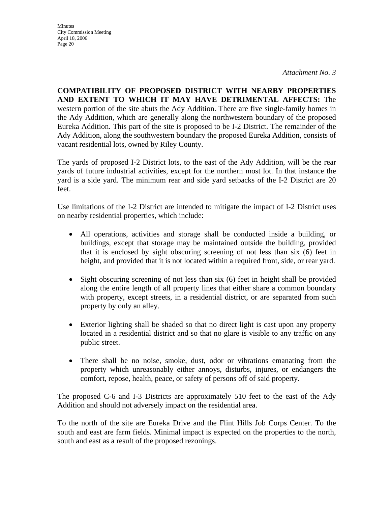**Minutes** City Commission Meeting April 18, 2006 Page 20

*Attachment No. 3*

**COMPATIBILITY OF PROPOSED DISTRICT WITH NEARBY PROPERTIES AND EXTENT TO WHICH IT MAY HAVE DETRIMENTAL AFFECTS:** The western portion of the site abuts the Ady Addition. There are five single-family homes in the Ady Addition, which are generally along the northwestern boundary of the proposed Eureka Addition. This part of the site is proposed to be I-2 District. The remainder of the Ady Addition, along the southwestern boundary the proposed Eureka Addition, consists of vacant residential lots, owned by Riley County.

The yards of proposed I-2 District lots, to the east of the Ady Addition, will be the rear yards of future industrial activities, except for the northern most lot. In that instance the yard is a side yard. The minimum rear and side yard setbacks of the I-2 District are 20 feet.

Use limitations of the I-2 District are intended to mitigate the impact of I-2 District uses on nearby residential properties, which include:

- All operations, activities and storage shall be conducted inside a building, or buildings, except that storage may be maintained outside the building, provided that it is enclosed by sight obscuring screening of not less than six (6) feet in height, and provided that it is not located within a required front, side, or rear yard.
- Sight obscuring screening of not less than six (6) feet in height shall be provided along the entire length of all property lines that either share a common boundary with property, except streets, in a residential district, or are separated from such property by only an alley.
- Exterior lighting shall be shaded so that no direct light is cast upon any property located in a residential district and so that no glare is visible to any traffic on any public street.
- There shall be no noise, smoke, dust, odor or vibrations emanating from the property which unreasonably either annoys, disturbs, injures, or endangers the comfort, repose, health, peace, or safety of persons off of said property.

The proposed C-6 and I-3 Districts are approximately 510 feet to the east of the Ady Addition and should not adversely impact on the residential area.

To the north of the site are Eureka Drive and the Flint Hills Job Corps Center. To the south and east are farm fields. Minimal impact is expected on the properties to the north, south and east as a result of the proposed rezonings.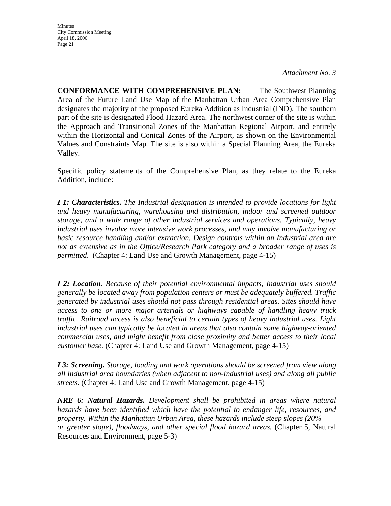Minutes City Commission Meeting April 18, 2006 Page 21

*Attachment No. 3*

**CONFORMANCE WITH COMPREHENSIVE PLAN:** The Southwest Planning Area of the Future Land Use Map of the Manhattan Urban Area Comprehensive Plan designates the majority of the proposed Eureka Addition as Industrial (IND). The southern part of the site is designated Flood Hazard Area. The northwest corner of the site is within the Approach and Transitional Zones of the Manhattan Regional Airport, and entirely within the Horizontal and Conical Zones of the Airport, as shown on the Environmental Values and Constraints Map. The site is also within a Special Planning Area, the Eureka Valley.

Specific policy statements of the Comprehensive Plan, as they relate to the Eureka Addition, include:

*I 1: Characteristics. The Industrial designation is intended to provide locations for light and heavy manufacturing, warehousing and distribution, indoor and screened outdoor storage, and a wide range of other industrial services and operations. Typically, heavy industrial uses involve more intensive work processes, and may involve manufacturing or basic resource handling and/or extraction. Design controls within an Industrial area are not as extensive as in the Office/Research Park category and a broader range of uses is permitted*. (Chapter 4: Land Use and Growth Management, page 4-15)

*I 2: Location. Because of their potential environmental impacts, Industrial uses should generally be located away from population centers or must be adequately buffered. Traffic generated by industrial uses should not pass through residential areas. Sites should have access to one or more major arterials or highways capable of handling heavy truck traffic. Railroad access is also beneficial to certain types of heavy industrial uses. Light industrial uses can typically be located in areas that also contain some highway-oriented commercial uses, and might benefit from close proximity and better access to their local customer base.* (Chapter 4: Land Use and Growth Management, page 4-15)

*I 3: Screening. Storage, loading and work operations should be screened from view along all industrial area boundaries (when adjacent to non-industrial uses) and along all public streets.* (Chapter 4: Land Use and Growth Management, page 4-15)

*NRE 6: Natural Hazards. Development shall be prohibited in areas where natural hazards have been identified which have the potential to endanger life, resources, and property. Within the Manhattan Urban Area, these hazards include steep slopes (20% or greater slope), floodways, and other special flood hazard areas.* (Chapter 5, Natural Resources and Environment, page 5-3)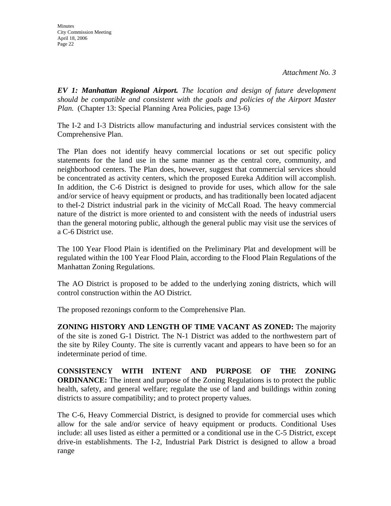*EV 1: Manhattan Regional Airport. The location and design of future development should be compatible and consistent with the goals and policies of the Airport Master Plan.* (Chapter 13: Special Planning Area Policies, page 13-6)

The I-2 and I-3 Districts allow manufacturing and industrial services consistent with the Comprehensive Plan.

The Plan does not identify heavy commercial locations or set out specific policy statements for the land use in the same manner as the central core, community, and neighborhood centers. The Plan does, however, suggest that commercial services should be concentrated as activity centers, which the proposed Eureka Addition will accomplish. In addition, the C-6 District is designed to provide for uses, which allow for the sale and/or service of heavy equipment or products, and has traditionally been located adjacent to theI-2 District industrial park in the vicinity of McCall Road. The heavy commercial nature of the district is more oriented to and consistent with the needs of industrial users than the general motoring public, although the general public may visit use the services of a C-6 District use.

The 100 Year Flood Plain is identified on the Preliminary Plat and development will be regulated within the 100 Year Flood Plain, according to the Flood Plain Regulations of the Manhattan Zoning Regulations.

The AO District is proposed to be added to the underlying zoning districts, which will control construction within the AO District.

The proposed rezonings conform to the Comprehensive Plan.

**ZONING HISTORY AND LENGTH OF TIME VACANT AS ZONED:** The majority of the site is zoned G-1 District. The N-1 District was added to the northwestern part of the site by Riley County. The site is currently vacant and appears to have been so for an indeterminate period of time.

**CONSISTENCY WITH INTENT AND PURPOSE OF THE ZONING ORDINANCE:** The intent and purpose of the Zoning Regulations is to protect the public health, safety, and general welfare; regulate the use of land and buildings within zoning districts to assure compatibility; and to protect property values.

The C-6, Heavy Commercial District, is designed to provide for commercial uses which allow for the sale and/or service of heavy equipment or products. Conditional Uses include: all uses listed as either a permitted or a conditional use in the C-5 District, except drive-in establishments. The I-2, Industrial Park District is designed to allow a broad range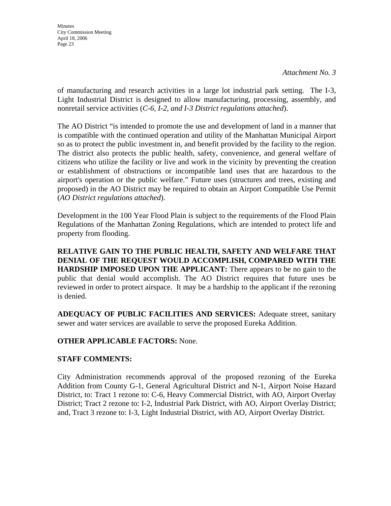**Minutes** City Commission Meeting April 18, 2006 Page 23

of manufacturing and research activities in a large lot industrial park setting. The I-3, Light Industrial District is designed to allow manufacturing, processing, assembly, and nonretail service activities (*C-6, I-2, and I-3 District regulations attached*).

The AO District "is intended to promote the use and development of land in a manner that is compatible with the continued operation and utility of the Manhattan Municipal Airport so as to protect the public investment in, and benefit provided by the facility to the region. The district also protects the public health, safety, convenience, and general welfare of citizens who utilize the facility or live and work in the vicinity by preventing the creation or establishment of obstructions or incompatible land uses that are hazardous to the airport's operation or the public welfare." Future uses (structures and trees, existing and proposed) in the AO District may be required to obtain an Airport Compatible Use Permit (*AO District regulations attached*).

Development in the 100 Year Flood Plain is subject to the requirements of the Flood Plain Regulations of the Manhattan Zoning Regulations, which are intended to protect life and property from flooding.

**RELATIVE GAIN TO THE PUBLIC HEALTH, SAFETY AND WELFARE THAT DENIAL OF THE REQUEST WOULD ACCOMPLISH, COMPARED WITH THE HARDSHIP IMPOSED UPON THE APPLICANT:** There appears to be no gain to the public that denial would accomplish. The AO District requires that future uses be reviewed in order to protect airspace. It may be a hardship to the applicant if the rezoning is denied.

**ADEQUACY OF PUBLIC FACILITIES AND SERVICES:** Adequate street, sanitary sewer and water services are available to serve the proposed Eureka Addition.

# **OTHER APPLICABLE FACTORS:** None.

# **STAFF COMMENTS:**

City Administration recommends approval of the proposed rezoning of the Eureka Addition from County G-1, General Agricultural District and N-1, Airport Noise Hazard District, to: Tract 1 rezone to: C-6, Heavy Commercial District, with AO, Airport Overlay District; Tract 2 rezone to: I-2, Industrial Park District, with AO, Airport Overlay District; and, Tract 3 rezone to: I-3, Light Industrial District, with AO, Airport Overlay District.